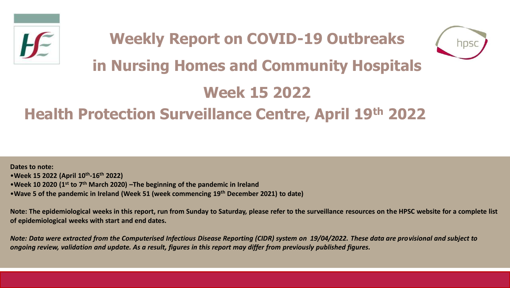



# **in Nursing Homes and Community Hospitals**

## **Week 15 2022**

## **Health Protection Surveillance Centre, April 19th 2022**

**Dates to note:** •**Week 15 2022 (April 10th -16th 2022)** •**Week 10 2020 (1st to 7th March 2020) –The beginning of the pandemic in Ireland**  •**Wave 5 of the pandemic in Ireland (Week 51 (week commencing 19th December 2021) to date)**

**Note: The epidemiological weeks in this report, run from Sunday to Saturday, please refer to the surveillance resources on the HPSC website for a complete list of epidemiological weeks with start and end dates.**

*Note: Data were extracted from the Computerised Infectious Disease Reporting (CIDR) system on 19/04/2022. These data are provisional and subject to ongoing review, validation and update. As a result, figures in this report may differ from previously published figures.*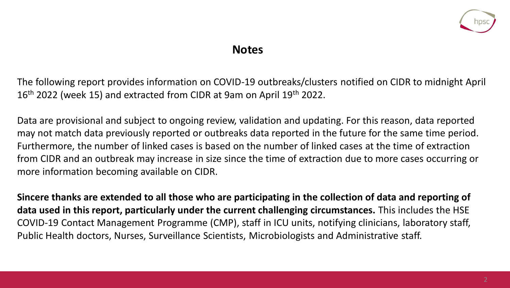

#### **Notes**

The following report provides information on COVID-19 outbreaks/clusters notified on CIDR to midnight April 16<sup>th</sup> 2022 (week 15) and extracted from CIDR at 9am on April 19<sup>th</sup> 2022.

Data are provisional and subject to ongoing review, validation and updating. For this reason, data reported may not match data previously reported or outbreaks data reported in the future for the same time period. Furthermore, the number of linked cases is based on the number of linked cases at the time of extraction from CIDR and an outbreak may increase in size since the time of extraction due to more cases occurring or more information becoming available on CIDR.

**Sincere thanks are extended to all those who are participating in the collection of data and reporting of data used in this report, particularly under the current challenging circumstances.** This includes the HSE COVID-19 Contact Management Programme (CMP), staff in ICU units, notifying clinicians, laboratory staff, Public Health doctors, Nurses, Surveillance Scientists, Microbiologists and Administrative staff.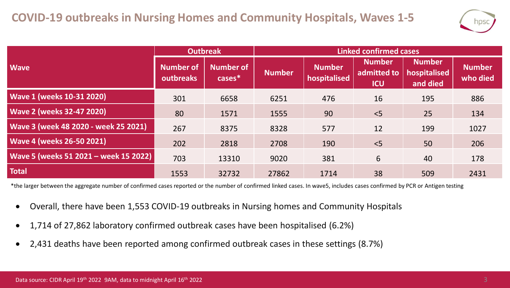

|                                       | <b>Outbreak</b>               |                               | <b>Linked confirmed cases</b> |                               |                                            |                                           |                           |  |
|---------------------------------------|-------------------------------|-------------------------------|-------------------------------|-------------------------------|--------------------------------------------|-------------------------------------------|---------------------------|--|
| <b>Wave</b>                           | <b>Number of</b><br>outbreaks | <b>Number of</b><br>$cases^*$ | <b>Number</b>                 | <b>Number</b><br>hospitalised | <b>Number</b><br>admitted to<br><b>ICU</b> | <b>Number</b><br>hospitalised<br>and died | <b>Number</b><br>who died |  |
| <b>Wave 1 (weeks 10-31 2020)</b>      | 301                           | 6658                          | 6251                          | 476                           | 16                                         | 195                                       | 886                       |  |
| <b>Wave 2 (weeks 32-47 2020)</b>      | 80                            | 1571                          | 1555                          | 90                            | < 5                                        | 25                                        | 134                       |  |
| Wave 3 (week 48 2020 - week 25 2021)  | 267                           | 8375                          | 8328                          | 577                           | 12                                         | 199                                       | 1027                      |  |
| <b>Wave 4 (weeks 26-50 2021)</b>      | 202                           | 2818                          | 2708                          | 190                           | < 5                                        | 50                                        | 206                       |  |
| Wave 5 (weeks 51 2021 - week 15 2022) | 703                           | 13310                         | 9020                          | 381                           | 6                                          | 40                                        | 178                       |  |
| <b>Total</b>                          | 1553                          | 32732                         | 27862                         | 1714                          | 38                                         | 509                                       | 2431                      |  |

\*the larger between the aggregate number of confirmed cases reported or the number of confirmed linked cases. In wave5, includes cases confirmed by PCR or Antigen testing

- Overall, there have been 1,553 COVID-19 outbreaks in Nursing homes and Community Hospitals
- 1,714 of 27,862 laboratory confirmed outbreak cases have been hospitalised (6.2%)
- 2,431 deaths have been reported among confirmed outbreak cases in these settings (8.7%)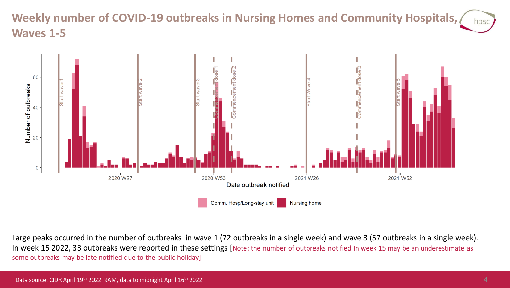**Weekly number of COVID-19 outbreaks in Nursing Homes and Community Hospitals,**  hosc **Waves 1-5**



Large peaks occurred in the number of outbreaks in wave 1 (72 outbreaks in a single week) and wave 3 (57 outbreaks in a single week). In week 15 2022, 33 outbreaks were reported in these settings [Note: the number of outbreaks notified In week 15 may be an underestimate as some outbreaks may be late notified due to the public holiday]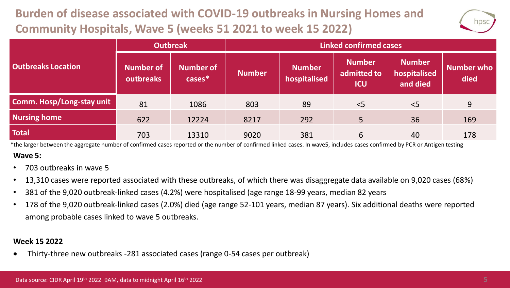## **Burden of disease associated with COVID-19 outbreaks in Nursing Homes and Community Hospitals, Wave 5 (weeks 51 2021 to week 15 2022)**



|                           | <b>Outbreak</b>               |                            | <b>Linked confirmed cases</b> |                               |                                            |                                           |                           |  |
|---------------------------|-------------------------------|----------------------------|-------------------------------|-------------------------------|--------------------------------------------|-------------------------------------------|---------------------------|--|
| <b>Outbreaks Location</b> | <b>Number of</b><br>outbreaks | <b>Number of</b><br>cases* | <b>Number</b>                 | <b>Number</b><br>hospitalised | <b>Number</b><br>admitted to<br><b>ICU</b> | <b>Number</b><br>hospitalised<br>and died | <b>Number who</b><br>died |  |
| Comm. Hosp/Long-stay unit | 81                            | 1086                       | 803                           | 89                            | < 5                                        | < 5                                       | 9                         |  |
| <b>Nursing home</b>       | 622                           | 12224                      | 8217                          | 292                           | 5                                          | 36                                        | 169                       |  |
| <b>Total</b>              | 703                           | 13310                      | 9020                          | 381                           | 6                                          | 40                                        | 178                       |  |

**Wave 5:** \*the larger between the aggregate number of confirmed cases reported or the number of confirmed linked cases. In wave5, includes cases confirmed by PCR or Antigen testing

- 703 outbreaks in wave 5
- 13,310 cases were reported associated with these outbreaks, of which there was disaggregate data available on 9,020 cases (68%)
- 381 of the 9,020 outbreak-linked cases (4.2%) were hospitalised (age range 18-99 years, median 82 years
- 178 of the 9,020 outbreak-linked cases (2.0%) died (age range 52-101 years, median 87 years). Six additional deaths were reported among probable cases linked to wave 5 outbreaks.

#### **Week 15 2022**

• Thirty-three new outbreaks -281 associated cases (range 0-54 cases per outbreak)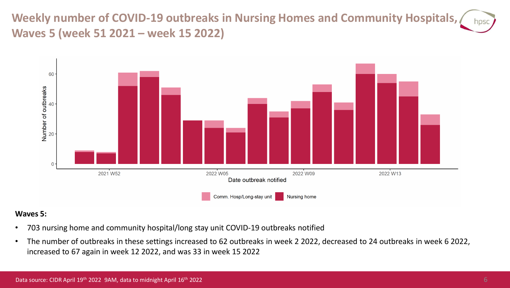**Weekly number of COVID-19 outbreaks in Nursing Homes and Community Hospitals,**  hpsc **Waves 5 (week 51 2021 – week 15 2022)**



#### **Waves 5:**

- 703 nursing home and community hospital/long stay unit COVID-19 outbreaks notified
- The number of outbreaks in these settings increased to 62 outbreaks in week 2 2022, decreased to 24 outbreaks in week 6 2022, increased to 67 again in week 12 2022, and was 33 in week 15 2022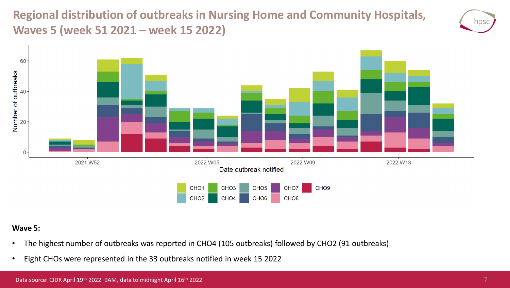**Regional distribution of outbreaks in Nursing Home and Community Hospitals, Waves 5 (week 51 2021 – week 15 2022)**





#### **Wave 5:**

- The highest number of outbreaks was reported in CHO4 (105 outbreaks) followed by CHO2 (91 outbreaks)
- Eight CHOs were represented in the 33 outbreaks notified in week 15 2022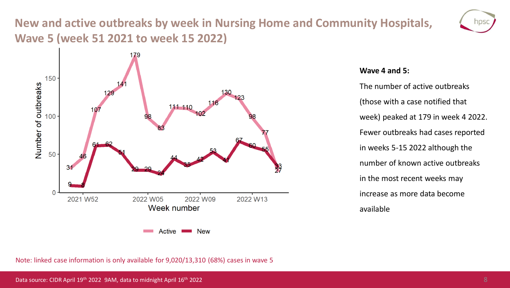### **New and active outbreaks by week in Nursing Home and Community Hospitals, Wave 5 (week 51 2021 to week 15 2022)**





#### **Wave 4 and 5:**

The number of active outbreaks (those with a case notified that week) peaked at 179 in week 4 2022. Fewer outbreaks had cases reported in weeks 5-15 2022 although the number of known active outbreaks in the most recent weeks may increase as more data become available

Note: linked case information is only available for 9,020/13,310 (68%) cases in wave 5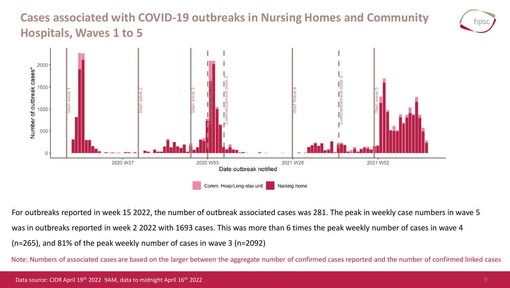### **Cases associated with COVID-19 outbreaks in Nursing Homes and Community Hospitals, Waves 1 to 5**



For outbreaks reported in week 15 2022, the number of outbreak associated cases was 281. The peak in weekly case numbers in wave 5 was in outbreaks reported in week 2 2022 with 1693 cases. This was more than 6 times the peak weekly number of cases in wave 4 (n=265), and 81% of the peak weekly number of cases in wave 3 (n=2092)

Note: Numbers of associated cases are based on the larger between the aggregate number of confirmed cases reported and the number of confirmed linked cases

nps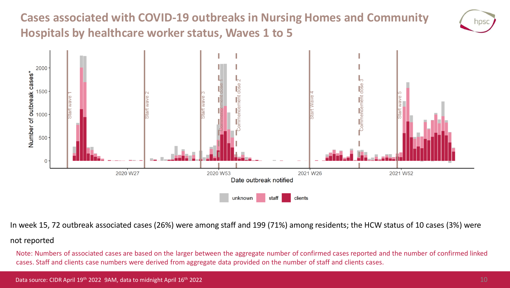**Cases associated with COVID-19 outbreaks in Nursing Homes and Community Hospitals by healthcare worker status, Waves 1 to 5**





In week 15, 72 outbreak associated cases (26%) were among staff and 199 (71%) among residents; the HCW status of 10 cases (3%) were

#### not reported

Note: Numbers of associated cases are based on the larger between the aggregate number of confirmed cases reported and the number of confirmed linked cases. Staff and clients case numbers were derived from aggregate data provided on the number of staff and clients cases.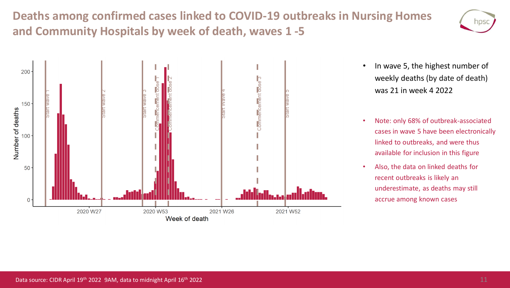**Deaths among confirmed cases linked to COVID-19 outbreaks in Nursing Homes and Community Hospitals by week of death, waves 1 -5**





- In wave 5, the highest number of weekly deaths (by date of death) was 21 in week 4 2022
- Note: only 68% of outbreak-associated cases in wave 5 have been electronically linked to outbreaks, and were thus available for inclusion in this figure
- Also, the data on linked deaths for recent outbreaks is likely an underestimate, as deaths may still accrue among known cases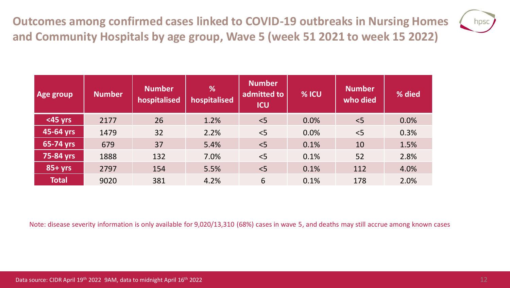**Outcomes among confirmed cases linked to COVID-19 outbreaks in Nursing Homes and Community Hospitals by age group, Wave 5 (week 51 2021 to week 15 2022)**



| Age group    | <b>Number</b> | <b>Number</b><br>hospitalised | %<br>hospitalised | <b>Number</b><br>admitted to<br><b>ICU</b> | % ICU | <b>Number</b><br>who died | % died |
|--------------|---------------|-------------------------------|-------------------|--------------------------------------------|-------|---------------------------|--------|
| $<$ 45 yrs   | 2177          | 26                            | 1.2%              | < 5                                        | 0.0%  | 5                         | 0.0%   |
| 45-64 yrs    | 1479          | 32                            | 2.2%              | < 5                                        | 0.0%  | $<$ 5                     | 0.3%   |
| 65-74 yrs    | 679           | 37                            | 5.4%              | < 5                                        | 0.1%  | 10                        | 1.5%   |
| 75-84 yrs    | 1888          | 132                           | 7.0%              | < 5                                        | 0.1%  | 52                        | 2.8%   |
| $85+yrs$     | 2797          | 154                           | 5.5%              | < 5                                        | 0.1%  | 112                       | 4.0%   |
| <b>Total</b> | 9020          | 381                           | 4.2%              | 6                                          | 0.1%  | 178                       | 2.0%   |

Note: disease severity information is only available for 9,020/13,310 (68%) cases in wave 5, and deaths may still accrue among known cases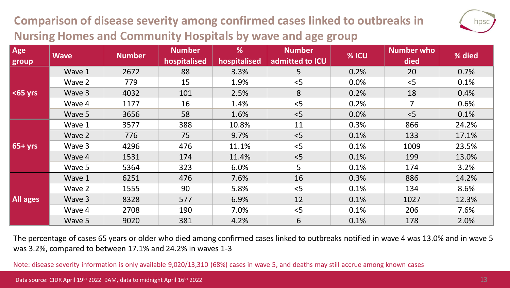### **Comparison of disease severity among confirmed cases linked to outbreaks in Nursing Homes and Community Hospitals by wave and age group**



The percentage of cases 65 years or older who died among confirmed cases linked to outbreaks notified in wave 4 was 13.0% and in wave 5 was 3.2%, compared to between 17.1% and 24.2% in waves 1-3

Note: disease severity information is only available 9,020/13,310 (68%) cases in wave 5, and deaths may still accrue among known cases

hps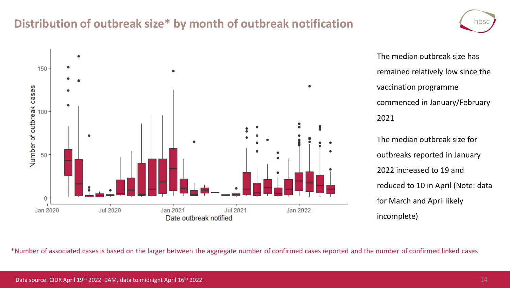#### **Distribution of outbreak size\* by month of outbreak notification**



The median outbreak size has remained relatively low since the vaccination programme commenced in January/February 2021

The median outbreak size for outbreaks reported in January 2022 increased to 19 and reduced to 10 in April (Note: data for March and April likely incomplete)

\*Number of associated cases is based on the larger between the aggregate number of confirmed cases reported and the number of confirmed linked cases

NDS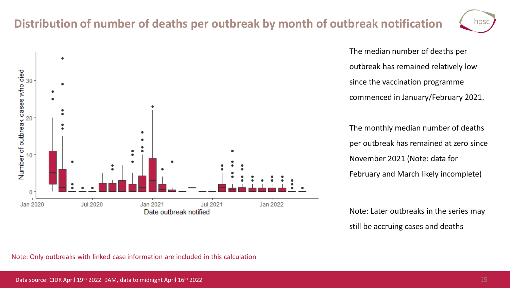### **Distribution of number of deaths per outbreak by month of outbreak notification**

**Jul 2021** 

Jan 2022



The median number of deaths per outbreak has remained relatively low since the vaccination programme commenced in January/February 2021.

The monthly median number of deaths per outbreak has remained at zero since November 2021 (Note: data for February and March likely incomplete)

Note: Later outbreaks in the series may still be accruing cases and deaths



Jan 2021

Date outbreak notified

**Jul 2020** 

٠

Number of outbreak cases who died<br>about the asses who died

0

Jan 2020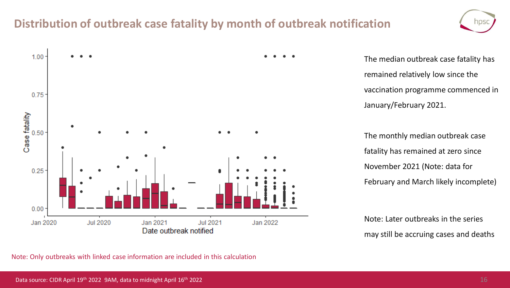### **Distribution of outbreak case fatality by month of outbreak notification**





The median outbreak case fatality has remained relatively low since the vaccination programme commenced in January/February 2021.

The monthly median outbreak case fatality has remained at zero since November 2021 (Note: data for February and March likely incomplete)

Note: Later outbreaks in the series may still be accruing cases and deaths

Note: Only outbreaks with linked case information are included in this calculation